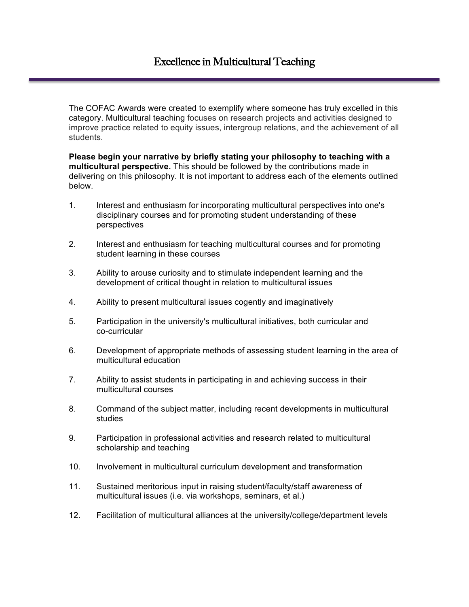The COFAC Awards were created to exemplify where someone has truly excelled in this category. Multicultural teaching focuses on research projects and activities designed to improve practice related to equity issues, intergroup relations, and the achievement of all students.

**Please begin your narrative by briefly stating your philosophy to teaching with a multicultural perspective.** This should be followed by the contributions made in delivering on this philosophy. It is not important to address each of the elements outlined below.

- 1. Interest and enthusiasm for incorporating multicultural perspectives into one's disciplinary courses and for promoting student understanding of these perspectives
- 2. Interest and enthusiasm for teaching multicultural courses and for promoting student learning in these courses
- 3. Ability to arouse curiosity and to stimulate independent learning and the development of critical thought in relation to multicultural issues
- 4. Ability to present multicultural issues cogently and imaginatively
- 5. Participation in the university's multicultural initiatives, both curricular and co-curricular
- 6. Development of appropriate methods of assessing student learning in the area of multicultural education
- 7. Ability to assist students in participating in and achieving success in their multicultural courses
- 8. Command of the subject matter, including recent developments in multicultural studies
- 9. Participation in professional activities and research related to multicultural scholarship and teaching
- 10. Involvement in multicultural curriculum development and transformation
- 11. Sustained meritorious input in raising student/faculty/staff awareness of multicultural issues (i.e. via workshops, seminars, et al.)
- 12. Facilitation of multicultural alliances at the university/college/department levels